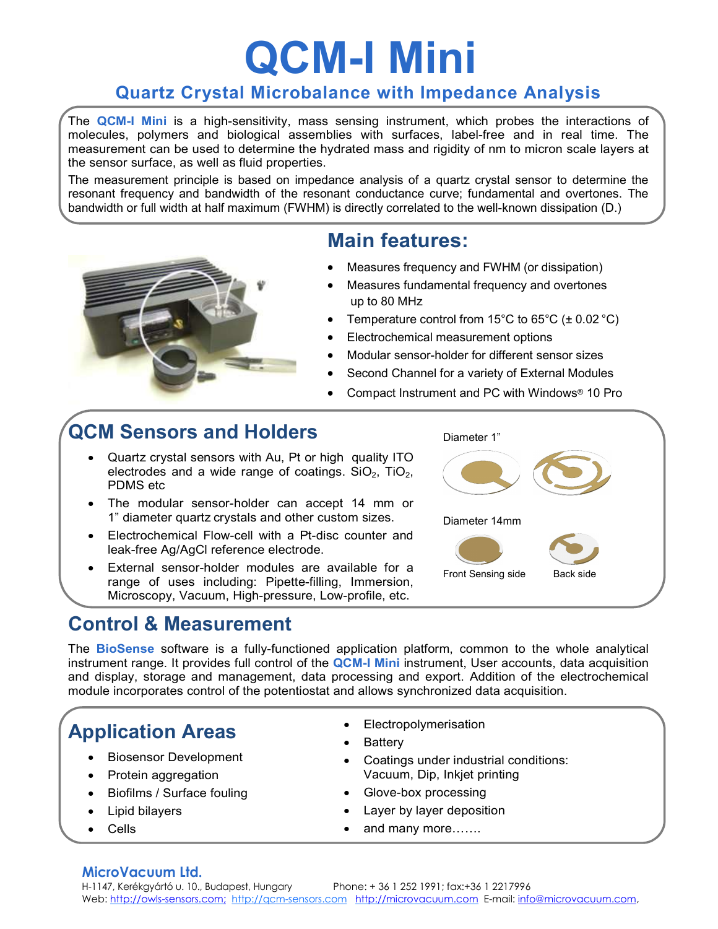# QCM-I Mini

#### Quartz Crystal Microbalance with Impedance Analysis

The QCM-I Mini is a high-sensitivity, mass sensing instrument, which probes the interactions of molecules, polymers and biological assemblies with surfaces, label-free and in real time. The measurement can be used to determine the hydrated mass and rigidity of nm to micron scale layers at the sensor surface, as well as fluid properties.

The measurement principle is based on impedance analysis of a quartz crystal sensor to determine the resonant frequency and bandwidth of the resonant conductance curve; fundamental and overtones. The bandwidth or full width at half maximum (FWHM) is directly correlated to the well-known dissipation (D.)



## Main features:

- Measures frequency and FWHM (or dissipation)
- Measures fundamental frequency and overtones up to 80 MHz
- Temperature control from 15°C to 65°C ( $\pm$  0.02 °C)
- Electrochemical measurement options
- Modular sensor-holder for different sensor sizes
- Second Channel for a variety of External Modules
- Compact Instrument and PC with Windows® 10 Pro

# QCM Sensors and Holders

- Quartz crystal sensors with Au, Pt or high quality ITO electrodes and a wide range of coatings.  $SiO<sub>2</sub>$ ,  $TiO<sub>2</sub>$ ,  $PDMS$  etc
- The modular sensor-holder can accept 14 mm or 1" diameter quartz crystals and other custom sizes.
- Electrochemical Flow-cell with a Pt-disc counter and leak-free Ag/AgCl reference electrode.
- External sensor-holder modules are available for a range of uses including: Pipette-filling, Immersion, Microscopy, Vacuum, High-pressure, Low-profile, etc.

### Control & Measurement



The **BioSense** software is a fully-functioned application platform, common to the whole analytical instrument range. It provides full control of the QCM-I Mini instrument, User accounts, data acquisition and display, storage and management, data processing and export. Addition of the electrochemical module incorporates control of the potentiostat and allows synchronized data acquisition.

# Application Areas

- Biosensor Development
- Protein aggregation
- Biofilms / Surface fouling
- Lipid bilayers
- Cells
- Electropolymerisation
- Battery
- Coatings under industrial conditions: Vacuum, Dip, Inkjet printing
- Glove-box processing
- Layer by layer deposition
- and many more…….

#### MicroVacuum Ltd.